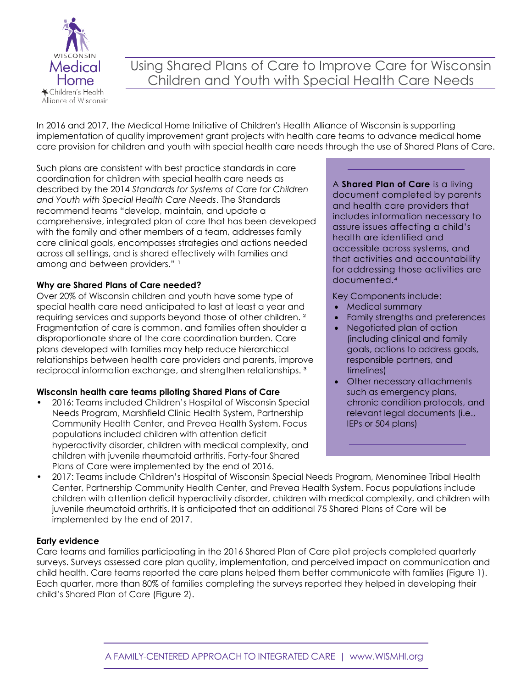

# Using Shared Plans of Care to Improve Care for Wisconsin Children and Youth with Special Health Care Needs

In 2016 and 2017, the Medical Home Initiative of Children's Health Alliance of Wisconsin is supporting implementation of quality improvement grant projects with health care teams to advance medical home care provision for children and youth with special health care needs through the use of Shared Plans of Care.

Such plans are consistent with best practice standards in care coordination for children with special health care needs as described by the 2014 *Standards for Systems of Care for Children and Youth with Special Health Care Needs*. The Standards recommend teams "develop, maintain, and update a comprehensive, integrated plan of care that has been developed with the family and other members of a team, addresses family care clinical goals, encompasses strategies and actions needed across all settings, and is shared effectively with families and among and between providers." 1

### **Why are Shared Plans of Care needed?**

Over 20% of Wisconsin children and youth have some type of special health care need anticipated to last at least a year and requiring services and supports beyond those of other children. ² Fragmentation of care is common, and families often shoulder a disproportionate share of the care coordination burden. Care plans developed with families may help reduce hierarchical relationships between health care providers and parents, improve reciprocal information exchange, and strengthen relationships. ³

## **Wisconsin health care teams piloting Shared Plans of Care**

• 2016: Teams included Children's Hospital of Wisconsin Special Needs Program, Marshfield Clinic Health System, Partnership Community Health Center, and Prevea Health System. Focus populations included children with attention deficit hyperactivity disorder, children with medical complexity, and children with juvenile rheumatoid arthritis. Forty-four Shared Plans of Care were implemented by the end of 2016.

A **Shared Plan of Care** is a living document completed by parents and health care providers that includes information necessary to assure issues affecting a child's health are identified and accessible across systems, and that activities and accountability for addressing those activities are documented.

Key Components include:

- Medical summary
- Family strengths and preferences
- Negotiated plan of action (including clinical and family goals, actions to address goals, responsible partners, and timelines)
- Other necessary attachments such as emergency plans, chronic condition protocols, and relevant legal documents (i.e., IEPs or 504 plans)
- 2017: Teams include Children's Hospital of Wisconsin Special Needs Program, Menominee Tribal Health Center, Partnership Community Health Center, and Prevea Health System. Focus populations include children with attention deficit hyperactivity disorder, children with medical complexity, and children with juvenile rheumatoid arthritis. It is anticipated that an additional 75 Shared Plans of Care will be implemented by the end of 2017.

### **Early evidence**

Care teams and families participating in the 2016 Shared Plan of Care pilot projects completed quarterly surveys. Surveys assessed care plan quality, implementation, and perceived impact on communication and child health. Care teams reported the care plans helped them better communicate with families (Figure 1). Each quarter, more than 80% of families completing the surveys reported they helped in developing their child's Shared Plan of Care (Figure 2).